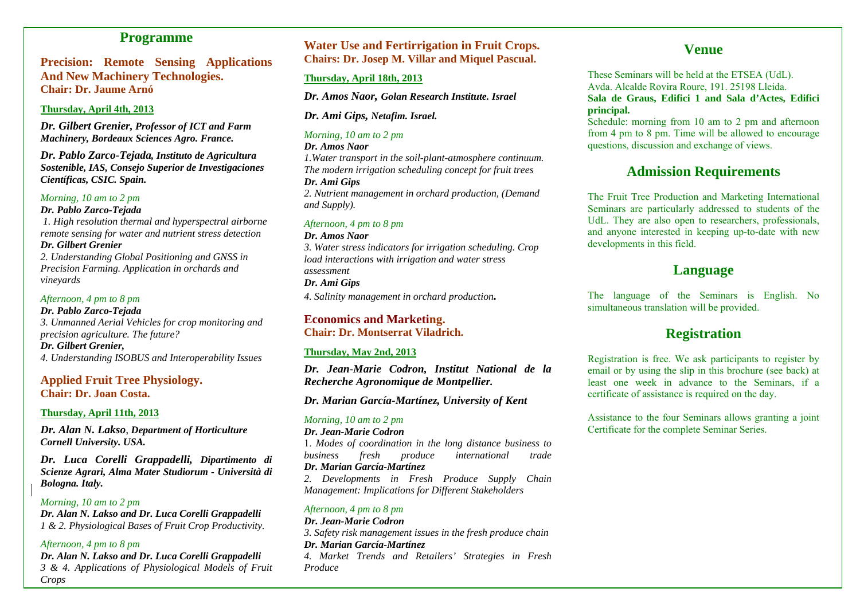## **Programme**

**Precision: Remote Sensing Applications And New Machinery Technologies. Chair: Dr. Jaume Arnó**

#### **Thursday, April 4th, 2013**

*Dr. Gilbert Grenier, Professor of ICT and Farm Machinery, Bordeaux Sciences Agro. France.* 

*Dr. Pablo Zarco-Tejada, Instituto de Agricultura Sostenible, IAS, Consejo Superior de Investigaciones Científicas, CSIC. Spain.* 

#### *Morning, 10 am to 2 pm*

*Dr. Pablo Zarco-Tejada*

 *1. High resolution thermal and hyperspectral airborne remote sensing for water and nutrient stress detection* 

*Dr. Gilbert Grenier* 

*2. Understanding Global Positioning and GNSS in Precision Farming. Application in orchards and vineyards* 

*Afternoon, 4 pm to 8 pm* 

*Dr. Pablo Zarco-Tejada 3. Unmanned Aerial Vehicles for crop monitoring and precision agriculture. The future?* 

*Dr. Gilbert Grenier, 4. Understanding ISOBUS and Interoperability Issues* 

## **Applied Fruit Tree Physiology. Chair: Dr. Joan Costa.**

#### **Thursday, April 11th, 2013**

*Dr. Alan N. Lakso*, *Department of Horticulture Cornell University. USA.* 

*Dr. Luca Corelli Grappadelli, Dipartimento di Scienze Agrari, Alma Mater Studiorum - Università di Bologna. Italy.* 

*Morning, 10 am to 2 pm Dr. Alan N. Lakso and Dr. Luca Corelli Grappadelli 1 & 2. Physiological Bases of Fruit Crop Productivity.* 

*Afternoon, 4 pm to 8 pm Dr. Alan N. Lakso and Dr. Luca Corelli Grappadelli 3 & 4. Applications of Physiological Models of Fruit Crops* 

## **Water Use and Fertirrigation in Fruit Crops. Chairs: Dr. Josep M. Villar and Miquel Pascual.**

#### **Thursday, April 18th, 2013**

*Dr. Amos Naor, Golan Research Institute. Israel* 

*Dr. Ami Gips, Netafim. Israel.* 

#### *Morning, 10 am to 2 pm*

*Dr. Amos Naor* 

*1.Water transport in the soil-plant-atmosphere continuum. The modern irrigation scheduling concept for fruit trees* 

#### *Dr. Ami Gips*

*2. Nutrient management in orchard production, (Demand and Supply).* 

#### *Afternoon, 4 pm to 8 pm*

#### *Dr. Amos Naor*

*3. Water stress indicators for irrigation scheduling. Crop load interactions with irrigation and water stress assessment* 

### *Dr. Ami Gips*

*4. Salinity management in orchard production.* 

### **Economics and Marketing. Chair: Dr. Montserrat Viladrich.**

## **Thursday, May 2nd, 2013**

*Dr. Jean-Marie Codron, Institut National de la Recherche Agronomique de Montpellier.* 

*Dr. Marian García-Martínez, University of Kent* 

### *Morning, 10 am to 2 pm*

#### *Dr. Jean-Marie Codron*

1. *Modes of coordination in the long distance business to business fresh produce international trade Dr. Marian García-Martínez*

*2. Developments in Fresh Produce Supply Chain Management: Implications for Different Stakeholders*

## *Afternoon, 4 pm to 8 pm*

*Dr. Jean-Marie Codron 3. Safety risk management issues in the fresh produce chain Dr. Marian García-Martínez* 

*4. Market Trends and Retailers' Strategies in Fresh Produce* 

## **Venue**

These Seminars will be held at the ETSEA (UdL). Avda. Alcalde Rovira Roure, 191. 25198 Lleida. **Sala de Graus, Edifici 1 and Sala d'Actes, Edifici principal.**

Schedule: morning from 10 am to 2 pm and afternoon from 4 pm to 8 pm. Time will be allowed to encourage questions, discussion and exchange of views.

# **Admission Requirements**

The Fruit Tree Production and Marketing International Seminars are particularly addressed to students of the UdL. They are also open to researchers, professionals, and anyone interested in keeping up-to-date with new developments in this field.

# **Language**

The language of the Seminars is English. No simultaneous translation will be provided.

# **Registration**

Registration is free. We ask participants to register by email or by using the slip in this brochure (see back) at least one week in advance to the Seminars, if a certificate of assistance is required on the day.

Assistance to the four Seminars allows granting a joint Certificate for the complete Seminar Series.